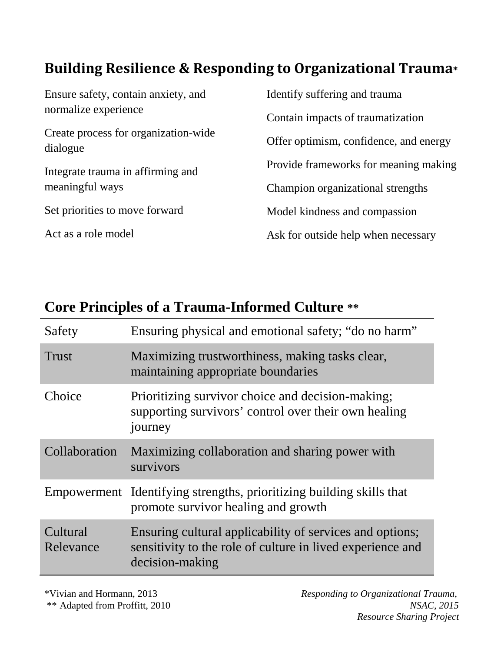## **Building Resilience & Responding to Organizational Trauma\***

| Identify suffering and trauma          |
|----------------------------------------|
| Contain impacts of traumatization      |
| Offer optimism, confidence, and energy |
| Provide frameworks for meaning making  |
| Champion organizational strengths      |
| Model kindness and compassion          |
| Ask for outside help when necessary    |
|                                        |

## **Core Principles of a Trauma-Informed Culture \*\***

| Safety                | Ensuring physical and emotional safety; "do no harm"                                                                                      |
|-----------------------|-------------------------------------------------------------------------------------------------------------------------------------------|
| <b>Trust</b>          | Maximizing trustworthiness, making tasks clear,<br>maintaining appropriate boundaries                                                     |
| Choice                | Prioritizing survivor choice and decision-making;<br>supporting survivors' control over their own healing<br>journey                      |
| Collaboration         | Maximizing collaboration and sharing power with<br>survivors                                                                              |
|                       | Empowerment Identifying strengths, prioritizing building skills that<br>promote survivor healing and growth                               |
| Cultural<br>Relevance | Ensuring cultural applicability of services and options;<br>sensitivity to the role of culture in lived experience and<br>decision-making |